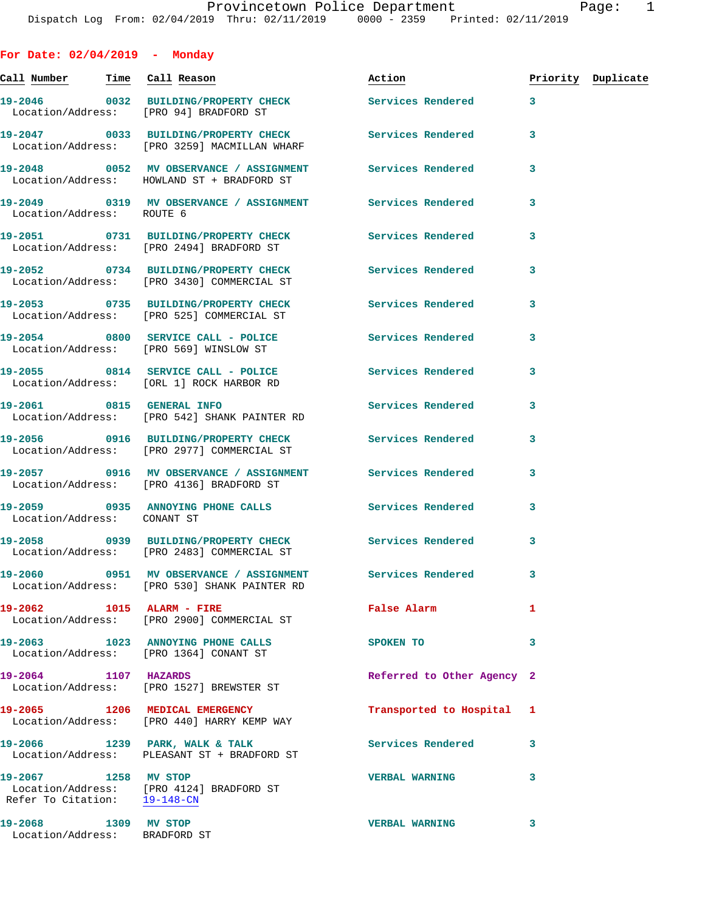**For Date: 02/04/2019 - Monday** Call Number Time Call Reason **Reason Action Action** Priority Duplicate **19-2046 0032 BUILDING/PROPERTY CHECK Services Rendered 3**  Location/Address: [PRO 94] BRADFORD ST **19-2047 0033 BUILDING/PROPERTY CHECK Services Rendered 3**  Location/Address: [PRO 3259] MACMILLAN WHARF **19-2048 0052 MV OBSERVANCE / ASSIGNMENT Services Rendered 3**  Location/Address: HOWLAND ST + BRADFORD ST **19-2049 0319 MV OBSERVANCE / ASSIGNMENT Services Rendered 3**  Location/Address: ROUTE 6 **19-2051 0731 BUILDING/PROPERTY CHECK Services Rendered 3**  Location/Address: [PRO 2494] BRADFORD ST **19-2052 0734 BUILDING/PROPERTY CHECK Services Rendered 3**  Location/Address: [PRO 3430] COMMERCIAL ST **19-2053 0735 BUILDING/PROPERTY CHECK Services Rendered 3**  Location/Address: [PRO 525] COMMERCIAL ST 19-2054 0800 SERVICE CALL - POLICE 3 Services Rendered 3 Location/Address: [PRO 569] WINSLOW ST **19-2055 0814 SERVICE CALL - POLICE Services Rendered 3**  Location/Address: [ORL 1] ROCK HARBOR RD **19-2061 0815 GENERAL INFO Services Rendered 3**  Location/Address: [PRO 542] SHANK PAINTER RD **19-2056 0916 BUILDING/PROPERTY CHECK Services Rendered 3**  Location/Address: [PRO 2977] COMMERCIAL ST **19-2057 0916 MV OBSERVANCE / ASSIGNMENT Services Rendered 3**  Location/Address: [PRO 4136] BRADFORD ST **19-2059 0935 ANNOYING PHONE CALLS Services Rendered 3**  Location/Address: CONANT ST **19-2058 0939 BUILDING/PROPERTY CHECK Services Rendered 3**  Location/Address: [PRO 2483] COMMERCIAL ST **19-2060 0951 MV OBSERVANCE / ASSIGNMENT Services Rendered 3**  Location/Address: [PRO 530] SHANK PAINTER RD **19-2062 1015 ALARM - FIRE False Alarm 1**  Location/Address: [PRO 2900] COMMERCIAL ST **19-2063 1023 ANNOYING PHONE CALLS SPOKEN TO 3**  Location/Address: [PRO 1364] CONANT ST **19-2064 1107 HAZARDS Referred to Other Agency 2**  Location/Address: [PRO 1527] BREWSTER ST **19-2065 1206 MEDICAL EMERGENCY Transported to Hospital 1**  Location/Address: [PRO 440] HARRY KEMP WAY **19-2066 1239 PARK, WALK & TALK Services Rendered 3**  Location/Address: PLEASANT ST + BRADFORD ST

**19-2067 1258 MV STOP VERBAL WARNING 3**  Location/Address: [PRO 4124] BRADFORD ST Refer To Citation: 19-148-CN

**19-2068 1309 MV STOP VERBAL WARNING 3**  Location/Address: BRADFORD ST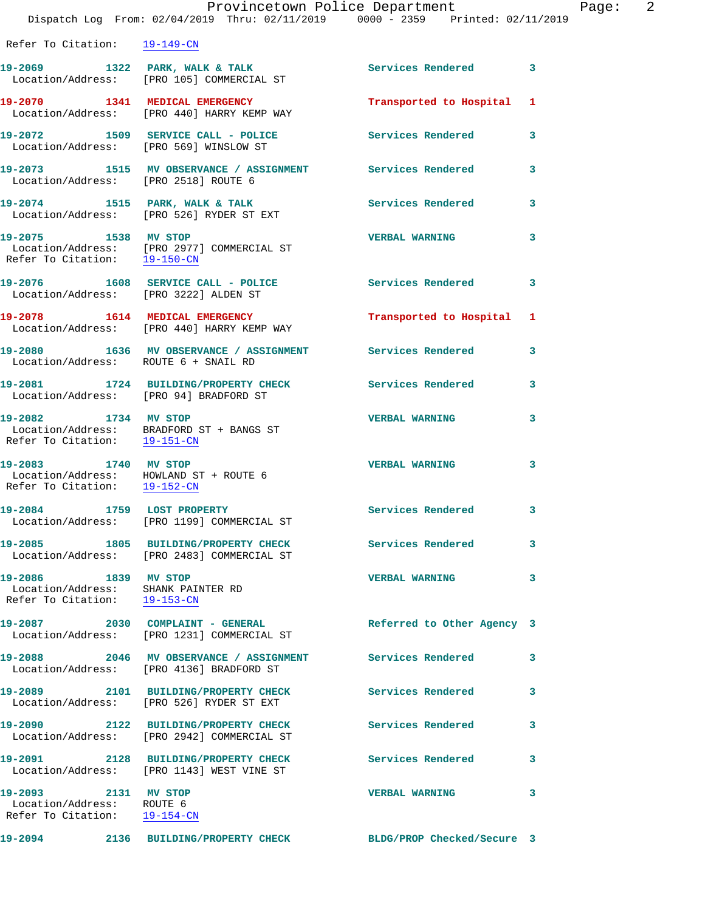|                                                                                                | Provincetown Police Department<br>Dispatch Log From: 02/04/2019 Thru: 02/11/2019 0000 - 2359 Printed: 02/11/2019 |                            |   |
|------------------------------------------------------------------------------------------------|------------------------------------------------------------------------------------------------------------------|----------------------------|---|
| Refer To Citation: 19-149-CN                                                                   |                                                                                                                  |                            |   |
|                                                                                                | 19-2069 1322 PARK, WALK & TALK<br>Location/Address: [PRO 105] COMMERCIAL ST                                      | Services Rendered          | 3 |
|                                                                                                | 19-2070 1341 MEDICAL EMERGENCY<br>Location/Address: [PRO 440] HARRY KEMP WAY                                     | Transported to Hospital    | 1 |
| Location/Address: [PRO 569] WINSLOW ST                                                         | 19-2072 1509 SERVICE CALL - POLICE                                                                               | <b>Services Rendered</b>   | 3 |
|                                                                                                |                                                                                                                  |                            | 3 |
|                                                                                                | 19-2074 1515 PARK, WALK & TALK<br>Location/Address: [PRO 526] RYDER ST EXT                                       | <b>Services Rendered</b>   | 3 |
| 19-2075 1538 MV STOP<br>Refer To Citation: 19-150-CN                                           | Location/Address: [PRO 2977] COMMERCIAL ST                                                                       | <b>VERBAL WARNING</b>      | 3 |
| Location/Address: [PRO 3222] ALDEN ST                                                          | 19-2076 1608 SERVICE CALL - POLICE                                                                               | <b>Services Rendered</b>   | 3 |
|                                                                                                | 19-2078 1614 MEDICAL EMERGENCY<br>Location/Address: [PRO 440] HARRY KEMP WAY                                     | Transported to Hospital    | 1 |
| Location/Address: ROUTE 6 + SNAIL RD                                                           | 19-2080 1636 MV OBSERVANCE / ASSIGNMENT Services Rendered                                                        |                            | 3 |
| 19-2081<br>Location/Address: [PRO 94] BRADFORD ST                                              | 1724 BUILDING/PROPERTY CHECK                                                                                     | <b>Services Rendered</b>   | 3 |
| 19-2082 1734 MV STOP<br>Refer To Citation: 19-151-CN                                           | Location/Address: BRADFORD ST + BANGS ST                                                                         | <b>VERBAL WARNING</b>      | 3 |
| 19-2083 1740 MV STOP<br>Location/Address: HOWLAND ST + ROUTE 6<br>Refer To Citation: 19-152-CN |                                                                                                                  | <b>VERBAL WARNING</b>      | 3 |
| 19-2084 1759 LOST PROPERTY                                                                     | Location/Address: [PRO 1199] COMMERCIAL ST                                                                       | Services Rendered          | 3 |
|                                                                                                | 19-2085 1805 BUILDING/PROPERTY CHECK<br>Location/Address: [PRO 2483] COMMERCIAL ST                               | Services Rendered          | 3 |
| 19-2086 1839 MV STOP<br>Location/Address: SHANK PAINTER RD<br>Refer To Citation: 19-153-CN     |                                                                                                                  | <b>VERBAL WARNING</b>      | 3 |
|                                                                                                | 19-2087 2030 COMPLAINT - GENERAL<br>Location/Address: [PRO 1231] COMMERCIAL ST                                   | Referred to Other Agency 3 |   |
|                                                                                                | 19-2088 2046 MV OBSERVANCE / ASSIGNMENT<br>Location/Address: [PRO 4136] BRADFORD ST                              | <b>Services Rendered</b>   | 3 |
|                                                                                                | 19-2089 2101 BUILDING/PROPERTY CHECK<br>Location/Address: [PRO 526] RYDER ST EXT                                 | <b>Services Rendered</b>   | 3 |
|                                                                                                | 19-2090 2122 BUILDING/PROPERTY CHECK<br>Location/Address: [PRO 2942] COMMERCIAL ST                               | <b>Services Rendered</b>   | 3 |
|                                                                                                | 19-2091 2128 BUILDING/PROPERTY CHECK<br>Location/Address: [PRO 1143] WEST VINE ST                                | <b>Services Rendered</b>   | 3 |
| 19-2093 2131 MV STOP<br>Location/Address: ROUTE 6<br>Refer To Citation: 19-154-CN              |                                                                                                                  | <b>VERBAL WARNING</b>      | 3 |
|                                                                                                |                                                                                                                  |                            |   |

**19-2094 2136 BUILDING/PROPERTY CHECK BLDG/PROP Checked/Secure 3** 

Page: 2<br>9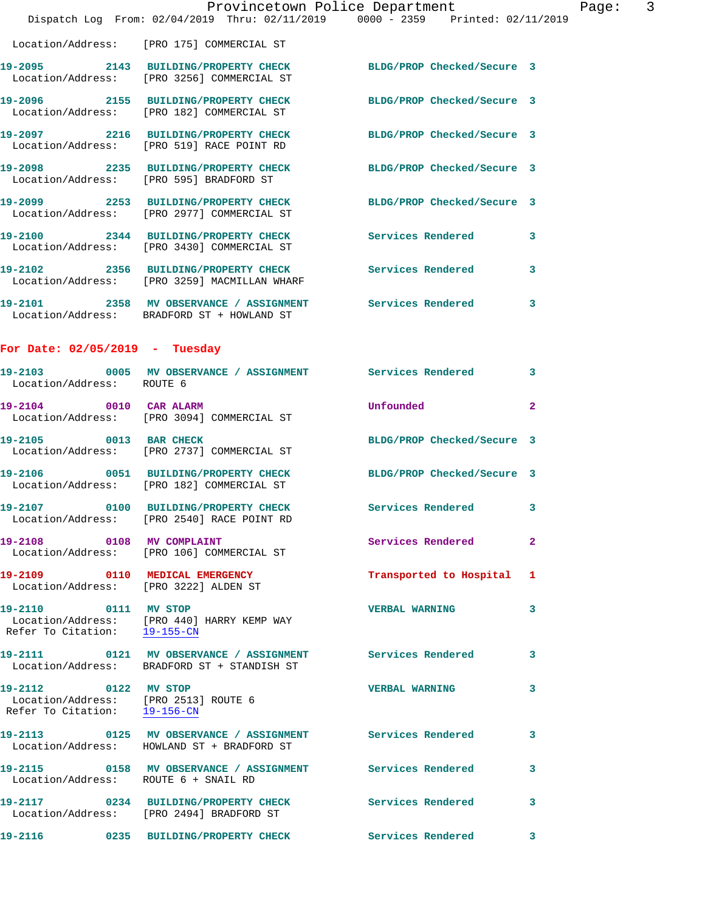|                                                                                              | Dispatch Log From: 02/04/2019 Thru: 02/11/2019 0000 - 2359 Printed: 02/11/2019                                | Provincetown Police Department | Page: 3      |
|----------------------------------------------------------------------------------------------|---------------------------------------------------------------------------------------------------------------|--------------------------------|--------------|
|                                                                                              |                                                                                                               |                                |              |
|                                                                                              | Location/Address: [PRO 175] COMMERCIAL ST                                                                     |                                |              |
|                                                                                              | 19-2095 2143 BUILDING/PROPERTY CHECK BLDG/PROP Checked/Secure 3<br>Location/Address: [PRO 3256] COMMERCIAL ST |                                |              |
|                                                                                              | 19-2096 2155 BUILDING/PROPERTY CHECK BLDG/PROP Checked/Secure 3<br>Location/Address: [PRO 182] COMMERCIAL ST  |                                |              |
|                                                                                              | 19-2097 2216 BUILDING/PROPERTY CHECK BLDG/PROP Checked/Secure 3<br>Location/Address: [PRO 519] RACE POINT RD  |                                |              |
|                                                                                              | 19-2098 2235 BUILDING/PROPERTY CHECK BLDG/PROP Checked/Secure 3<br>Location/Address: [PRO 595] BRADFORD ST    |                                |              |
|                                                                                              | 19-2099 2253 BUILDING/PROPERTY CHECK<br>Location/Address: [PRO 2977] COMMERCIAL ST                            | BLDG/PROP Checked/Secure 3     |              |
|                                                                                              | 19-2100 2344 BUILDING/PROPERTY CHECK<br>Location/Address: [PRO 3430] COMMERCIAL ST                            | Services Rendered              | 3            |
|                                                                                              | 19-2102 2356 BUILDING/PROPERTY CHECK<br>Location/Address: [PRO 3259] MACMILLAN WHARF                          | Services Rendered              | 3            |
|                                                                                              | 19-2101 2358 MV OBSERVANCE / ASSIGNMENT Services Rendered<br>Location/Address: BRADFORD ST + HOWLAND ST       |                                | 3            |
| For Date: $02/05/2019$ - Tuesday                                                             |                                                                                                               |                                |              |
| Location/Address: ROUTE 6                                                                    | 19-2103 6005 MV OBSERVANCE / ASSIGNMENT Services Rendered                                                     |                                | 3            |
| 19-2104 0010 CAR ALARM                                                                       | Location/Address: [PRO 3094] COMMERCIAL ST                                                                    | Unfounded                      | $\mathbf{2}$ |
|                                                                                              | 19-2105 0013 BAR CHECK<br>Location/Address: [PRO 2737] COMMERCIAL ST                                          | BLDG/PROP Checked/Secure 3     |              |
|                                                                                              | 19-2106 0051 BUILDING/PROPERTY CHECK BLDG/PROP Checked/Secure 3<br>Location/Address: [PRO 182] COMMERCIAL ST  |                                |              |
|                                                                                              | 19-2107   0100 BUILDING/PROPERTY CHECK   Services Rendered<br>Location/Address: [PRO 2540] RACE POINT RD      |                                | $\mathbf{3}$ |
| 19-2108 0108 MV COMPLAINT                                                                    | Location/Address: [PRO 106] COMMERCIAL ST                                                                     | Services Rendered              | $\mathbf{2}$ |
|                                                                                              | 19-2109 0110 MEDICAL EMERGENCY<br>Location/Address: [PRO 3222] ALDEN ST                                       | Transported to Hospital 1      |              |
| 19-2110 0111 MV STOP<br>Refer To Citation: 19-155-CN                                         | Location/Address: [PRO 440] HARRY KEMP WAY                                                                    | <b>VERBAL WARNING</b>          | 3            |
|                                                                                              | 19-2111 6121 MV OBSERVANCE / ASSIGNMENT Services Rendered<br>Location/Address: BRADFORD ST + STANDISH ST      |                                | 3            |
| 19-2112 0122 MV STOP<br>Location/Address: [PRO 2513] ROUTE 6<br>Refer To Citation: 19-156-CN |                                                                                                               | <b>VERBAL WARNING</b>          | 3            |
|                                                                                              | 19-2113 0125 MV OBSERVANCE / ASSIGNMENT Services Rendered<br>Location/Address: HOWLAND ST + BRADFORD ST       |                                | 3            |
| $19 - 2115$                                                                                  | 0158 MV OBSERVANCE / ASSIGNMENT Services Rendered                                                             |                                | 3            |

Location/Address: [PRO 2494] BRADFORD ST

Location/Address: ROUTE 6 + SNAIL RD

**19-2116 0235 BUILDING/PROPERTY CHECK Services Rendered 3** 

**19-2117 0234 BUILDING/PROPERTY CHECK Services Rendered 3**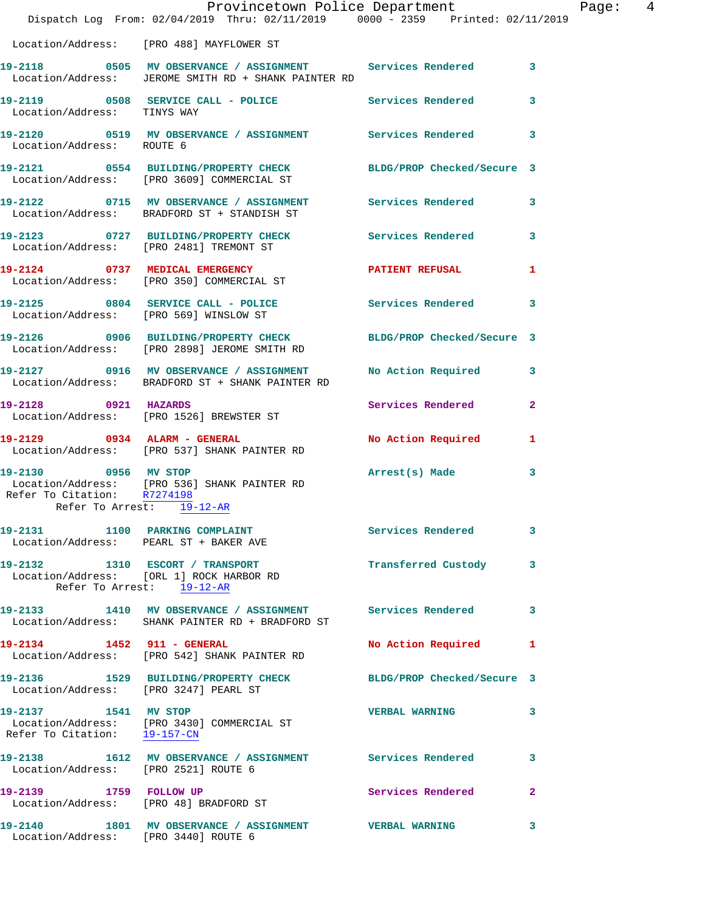|                                                   | Dispatch Log From: 02/04/2019 Thru: 02/11/2019 0000 - 2359 Printed: 02/11/2019                                      | Provincetown Police Department |              | Page: 4 |  |
|---------------------------------------------------|---------------------------------------------------------------------------------------------------------------------|--------------------------------|--------------|---------|--|
|                                                   | Location/Address: [PRO 488] MAYFLOWER ST                                                                            |                                |              |         |  |
|                                                   | 19-2118 0505 MV OBSERVANCE / ASSIGNMENT Services Rendered 3<br>Location/Address: JEROME SMITH RD + SHANK PAINTER RD |                                |              |         |  |
| Location/Address: TINYS WAY                       | 19-2119 0508 SERVICE CALL - POLICE Services Rendered                                                                |                                | $\mathbf{3}$ |         |  |
| Location/Address: ROUTE 6                         | 19-2120 0519 MV OBSERVANCE / ASSIGNMENT Services Rendered 3                                                         |                                |              |         |  |
|                                                   | 19-2121 0554 BUILDING/PROPERTY CHECK<br>Location/Address: [PRO 3609] COMMERCIAL ST                                  | BLDG/PROP Checked/Secure 3     |              |         |  |
|                                                   | 19-2122 0715 MV OBSERVANCE / ASSIGNMENT Services Rendered 3<br>Location/Address: BRADFORD ST + STANDISH ST          |                                |              |         |  |
|                                                   | 19-2123 0727 BUILDING/PROPERTY CHECK Services Rendered 3<br>Location/Address: [PRO 2481] TREMONT ST                 |                                |              |         |  |
|                                                   | 19-2124 0737 MEDICAL EMERGENCY<br>Location/Address: [PRO 350] COMMERCIAL ST                                         | PATIENT REFUSAL                | 1            |         |  |
|                                                   | 19-2125 0804 SERVICE CALL - POLICE<br>Location/Address: [PRO 569] WINSLOW ST                                        | Services Rendered              | 3            |         |  |
|                                                   | 19-2126 0906 BUILDING/PROPERTY CHECK BLDG/PROP Checked/Secure 3<br>Location/Address: [PRO 2898] JEROME SMITH RD     |                                |              |         |  |
|                                                   | 19-2127 0916 MV OBSERVANCE / ASSIGNMENT<br>Location/Address: BRADFORD ST + SHANK PAINTER RD                         | No Action Required 3           |              |         |  |
| 19-2128 0921 HAZARDS                              | Location/Address: [PRO 1526] BREWSTER ST                                                                            | Services Rendered              | $\mathbf{2}$ |         |  |
|                                                   | 19-2129 0934 ALARM - GENERAL<br>Location/Address: [PRO 537] SHANK PAINTER RD                                        | No Action Required 1           |              |         |  |
| 19-2130 0956 MV STOP<br>Refer To Arrest: 19-12-AR | Location/Address: [PRO 536] SHANK PAINTER RD<br>Refer To Citation: R7274198                                         | Arrest(s) Made                 | 3            |         |  |
|                                                   |                                                                                                                     |                                |              |         |  |
|                                                   | 19-2131 1100 PARKING COMPLAINT<br>Location/Address: PEARL ST + BAKER AVE                                            | Services Rendered 3            |              |         |  |
|                                                   | 19-2132 1310 ESCORT / TRANSPORT<br>Location/Address: [ORL 1] ROCK HARBOR RD<br>Refer To Arrest: 19-12-AR            | Transferred Custody 3          |              |         |  |
|                                                   | 19-2133 1410 MV OBSERVANCE / ASSIGNMENT Services Rendered<br>Location/Address: SHANK PAINTER RD + BRADFORD ST       |                                | 3            |         |  |
|                                                   | 19-2134 1452 911 - GENERAL<br>Location/Address: [PRO 542] SHANK PAINTER RD                                          | No Action Required 1           |              |         |  |
| Location/Address: [PRO 3247] PEARL ST             | 19-2136 1529 BUILDING/PROPERTY CHECK BLDG/PROP Checked/Secure 3                                                     |                                |              |         |  |
|                                                   | 19-2137 1541 MV STOP<br>Location/Address: [PRO 3430] COMMERCIAL ST<br>Refer To Citation: 19-157-CM                  | <b>VERBAL WARNING</b>          | 3            |         |  |
| Location/Address: [PRO 2521] ROUTE 6              | 19-2138 1612 MV OBSERVANCE / ASSIGNMENT Services Rendered                                                           |                                | 3            |         |  |
|                                                   | 19-2139 1759 FOLLOW UP<br>Location/Address: [PRO 48] BRADFORD ST                                                    | Services Rendered              | $\mathbf{2}$ |         |  |
| Location/Address: [PRO 3440] ROUTE 6              | 19-2140 1801 MV OBSERVANCE / ASSIGNMENT VERBAL WARNING                                                              |                                | 3            |         |  |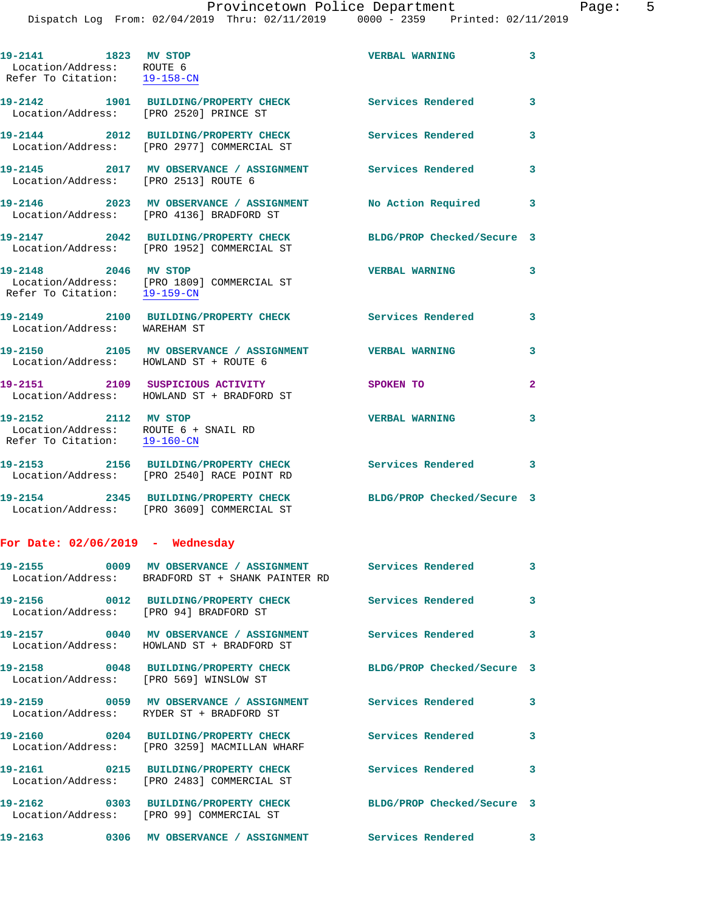**19-2141 1823 MV STOP VERBAL WARNING 3**  Location/Address: ROUTE 6 Refer To Citation: 19-158-CN **19-2142 1901 BUILDING/PROPERTY CHECK Services Rendered 3**  Location/Address: [PRO 2520] PRINCE ST **19-2144 2012 BUILDING/PROPERTY CHECK Services Rendered 3**  Location/Address: [PRO 2977] COMMERCIAL ST **19-2145 2017 MV OBSERVANCE / ASSIGNMENT Services Rendered 3**  Location/Address: [PRO 2513] ROUTE 6 **19-2146 2023 MV OBSERVANCE / ASSIGNMENT No Action Required 3**  Location/Address: [PRO 4136] BRADFORD ST **19-2147 2042 BUILDING/PROPERTY CHECK BLDG/PROP Checked/Secure 3**  Location/Address: [PRO 1952] COMMERCIAL ST **19-2148 2046 MV STOP VERBAL WARNING 3**  Location/Address: [PRO 1809] COMMERCIAL ST Refer To Citation: 19-159-CN **19-2149 2100 BUILDING/PROPERTY CHECK Services Rendered 3**  Location/Address: WAREHAM ST **19-2150 2105 MV OBSERVANCE / ASSIGNMENT VERBAL WARNING 3**  Location/Address: HOWLAND ST + ROUTE 6 **19-2151 2109 SUSPICIOUS ACTIVITY SPOKEN TO 2**  Location/Address: HOWLAND ST + BRADFORD ST **19-2152 2112 MV STOP VERBAL WARNING 3**  Location/Address: ROUTE 6 + SNAIL RD Refer To Citation: 19-160-CN **19-2153 2156 BUILDING/PROPERTY CHECK Services Rendered 3**  Location/Address: [PRO 2540] RACE POINT RD **19-2154 2345 BUILDING/PROPERTY CHECK BLDG/PROP Checked/Secure 3**  Location/Address: [PRO 3609] COMMERCIAL ST **For Date: 02/06/2019 - Wednesday 19-2155 0009 MV OBSERVANCE / ASSIGNMENT Services Rendered 3**  Location/Address: BRADFORD ST + SHANK PAINTER RD **19-2156 0012 BUILDING/PROPERTY CHECK Services Rendered 3**  Location/Address: [PRO 94] BRADFORD ST **19-2157 0040 MV OBSERVANCE / ASSIGNMENT Services Rendered 3**  Location/Address: HOWLAND ST + BRADFORD ST **19-2158 0048 BUILDING/PROPERTY CHECK BLDG/PROP Checked/Secure 3**  Location/Address: [PRO 569] WINSLOW ST **19-2159 0059 MV OBSERVANCE / ASSIGNMENT Services Rendered 3**  Location/Address: RYDER ST + BRADFORD ST **19-2160 0204 BUILDING/PROPERTY CHECK Services Rendered 3**  Location/Address: [PRO 3259] MACMILLAN WHARF **19-2161 0215 BUILDING/PROPERTY CHECK Services Rendered 3**  Location/Address: [PRO 2483] COMMERCIAL ST **19-2162 0303 BUILDING/PROPERTY CHECK BLDG/PROP Checked/Secure 3**  Location/Address: [PRO 99] COMMERCIAL ST **19-2163 0306 MV OBSERVANCE / ASSIGNMENT Services Rendered 3**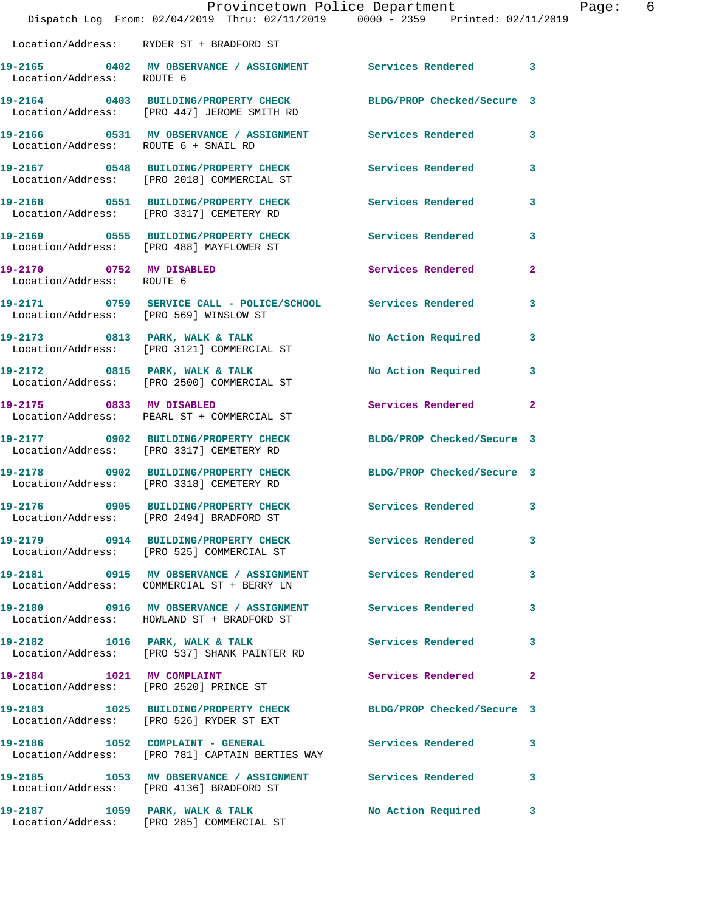|                                      | Dispatch Log From: 02/04/2019 Thru: 02/11/2019 0000 - 2359 Printed: 02/11/2019                                 | Provincetown Police Department | Page: 6      |  |
|--------------------------------------|----------------------------------------------------------------------------------------------------------------|--------------------------------|--------------|--|
|                                      | Location/Address: RYDER ST + BRADFORD ST                                                                       |                                |              |  |
|                                      | 19-2165 0402 MV OBSERVANCE / ASSIGNMENT Services Rendered 3<br>Location/Address: ROUTE 6                       |                                |              |  |
|                                      | 19-2164 0403 BUILDING/PROPERTY CHECK BLDG/PROP Checked/Secure 3<br>Location/Address: [PRO 447] JEROME SMITH RD |                                |              |  |
| Location/Address: ROUTE 6 + SNAIL RD | 19-2166 0531 MV OBSERVANCE / ASSIGNMENT Services Rendered 3                                                    |                                |              |  |
|                                      | 19-2167 0548 BUILDING/PROPERTY CHECK Services Rendered 3<br>Location/Address: [PRO 2018] COMMERCIAL ST         |                                |              |  |
|                                      | 19-2168 0551 BUILDING/PROPERTY CHECK Services Rendered 3<br>Location/Address: [PRO 3317] CEMETERY RD           |                                |              |  |
|                                      | 19-2169 0555 BUILDING/PROPERTY CHECK Services Rendered 3<br>Location/Address: [PRO 488] MAYFLOWER ST           |                                |              |  |
| Location/Address: ROUTE 6            | 19-2170 0752 MV DISABLED                                                                                       | Services Rendered              | $\mathbf{2}$ |  |
|                                      | 19-2171 0759 SERVICE CALL - POLICE/SCHOOL Services Rendered 3<br>Location/Address: [PRO 569] WINSLOW ST        |                                |              |  |
|                                      | 19-2173 0813 PARK, WALK & TALK N No Action Required 3<br>Location/Address: [PRO 3121] COMMERCIAL ST            |                                |              |  |
|                                      | 19-2172 0815 PARK, WALK & TALK No Action Required 3<br>Location/Address: [PRO 2500] COMMERCIAL ST              |                                |              |  |
|                                      | 19-2175 0833 MV DISABLED<br>Location/Address: PEARL ST + COMMERCIAL ST                                         | Services Rendered 2            |              |  |
|                                      | 19-2177 0902 BUILDING/PROPERTY CHECK BLDG/PROP Checked/Secure 3<br>Location/Address: [PRO 3317] CEMETERY RD    |                                |              |  |
|                                      | 19-2178 0902 BUILDING/PROPERTY CHECK BLDG/PROP Checked/Secure 3<br>Location/Address: [PRO 3318] CEMETERY RD    |                                |              |  |
|                                      | 19-2176 0905 BUILDING/PROPERTY CHECK<br>Location/Address: [PRO 2494] BRADFORD ST                               | Services Rendered 3            |              |  |
|                                      | 19-2179 0914 BUILDING/PROPERTY CHECK Services Rendered<br>Location/Address: [PRO 525] COMMERCIAL ST            |                                | $\mathbf{3}$ |  |
|                                      | 19-2181 0915 MV OBSERVANCE / ASSIGNMENT Services Rendered 3<br>Location/Address: COMMERCIAL ST + BERRY LN      |                                |              |  |
|                                      | 19-2180  0916 MV OBSERVANCE / ASSIGNMENT Services Rendered<br>Location/Address: HOWLAND ST + BRADFORD ST       |                                | 3            |  |
|                                      | 19-2182 1016 PARK, WALK & TALK 1999 Services Rendered 3<br>Location/Address: [PRO 537] SHANK PAINTER RD        |                                |              |  |
|                                      | 19-2184 1021 MV COMPLAINT<br>Location/Address: [PRO 2520] PRINCE ST                                            | Services Rendered              | -2           |  |
|                                      | 19-2183 1025 BUILDING/PROPERTY CHECK BLDG/PROP Checked/Secure 3<br>Location/Address: [PRO 526] RYDER ST EXT    |                                |              |  |
|                                      | 19-2186 1052 COMPLAINT - GENERAL Services Rendered 3<br>Location/Address: [PRO 781] CAPTAIN BERTIES WAY        |                                |              |  |
|                                      | 19-2185 1053 MV OBSERVANCE / ASSIGNMENT Services Rendered<br>Location/Address: [PRO 4136] BRADFORD ST          |                                | 3            |  |
|                                      | 19-2187 1059 PARK, WALK & TALK<br>Location/Address: [PRO 285] COMMERCIAL ST                                    | No Action Required 3           |              |  |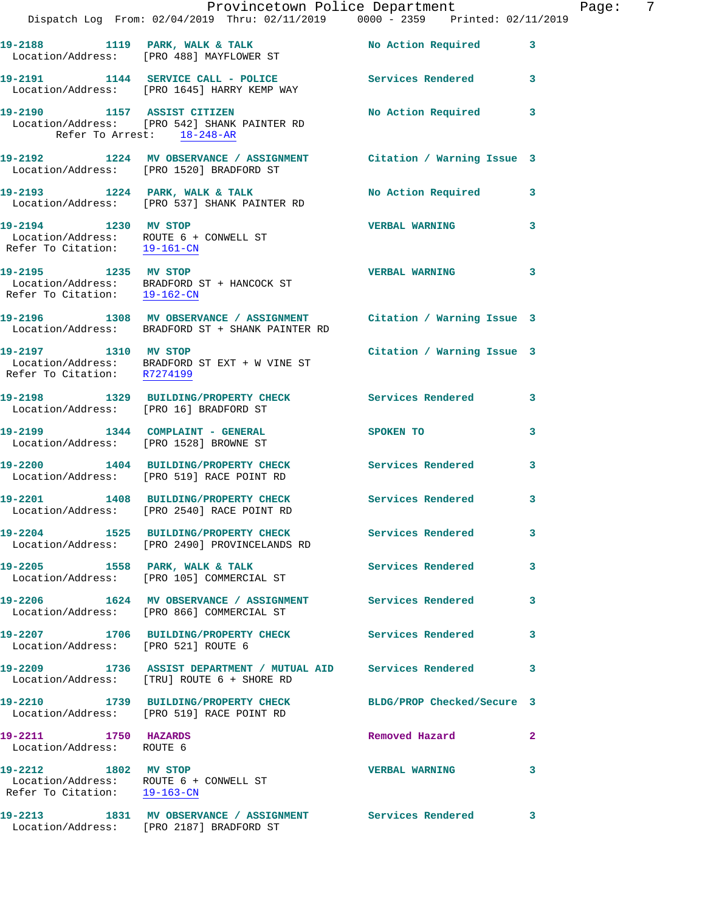|                                                      | Provincetown Police Department                                                                                         |                            |              |
|------------------------------------------------------|------------------------------------------------------------------------------------------------------------------------|----------------------------|--------------|
|                                                      | Dispatch Log From: 02/04/2019 Thru: 02/11/2019 0000 - 2359 Printed: 02/11/2019                                         |                            |              |
|                                                      |                                                                                                                        | No Action Required         | 3            |
|                                                      | 19-2191 1144 SERVICE CALL - POLICE Services Rendered<br>Location/Address: [PRO 1645] HARRY KEMP WAY                    |                            | 3            |
|                                                      | 19-2190 1157 ASSIST CITIZEN<br>Location/Address: [PRO 542] SHANK PAINTER RD<br>Refer To Arrest: 18-248-AR              | No Action Required         | 3            |
|                                                      | 19-2192 1224 MV OBSERVANCE / ASSIGNMENT Citation / Warning Issue 3<br>Location/Address: [PRO 1520] BRADFORD ST         |                            |              |
|                                                      | 19-2193 1224 PARK, WALK & TALK<br>Location/Address: [PRO 537] SHANK PAINTER RD                                         | <b>No Action Required</b>  | 3            |
| 19-2194 1230 MV STOP                                 | Location/Address: ROUTE $6 +$ CONWELL ST<br>Refer To Citation: $\frac{19-161-\text{CN}}{2}$                            | <b>VERBAL WARNING</b>      | 3            |
| 19-2195 1235 MV STOP<br>Refer To Citation: 19-162-CN | Location/Address: BRADFORD ST + HANCOCK ST                                                                             | <b>VERBAL WARNING</b>      | 3            |
|                                                      | 19-2196 1308 MV OBSERVANCE / ASSIGNMENT Citation / Warning Issue 3<br>Location/Address: BRADFORD ST + SHANK PAINTER RD |                            |              |
| 19-2197 1310 MV STOP<br>Refer To Citation: R7274199  | Location/Address: BRADFORD ST EXT + W VINE ST                                                                          | Citation / Warning Issue 3 |              |
| Location/Address: [PRO 16] BRADFORD ST               | 19-2198 1329 BUILDING/PROPERTY CHECK Services Rendered                                                                 |                            | 3            |
|                                                      | 19-2199 1344 COMPLAINT - GENERAL<br>Location/Address: [PRO 1528] BROWNE ST                                             | <b>SPOKEN TO</b>           | 3            |
|                                                      | 19-2200 1404 BUILDING/PROPERTY CHECK Services Rendered<br>Location/Address: [PRO 519] RACE POINT RD                    |                            | 3            |
|                                                      | 19-2201 1408 BUILDING/PROPERTY CHECK<br>Location/Address: [PRO 2540] RACE POINT RD                                     | Services Rendered          | 3            |
|                                                      | 19-2204 1525 BUILDING/PROPERTY CHECK<br>Location/Address: [PRO 2490] PROVINCELANDS RD                                  | Services Rendered          | 3            |
|                                                      | 19-2205 1558 PARK, WALK & TALK<br>Location/Address: [PRO 105] COMMERCIAL ST                                            | <b>Services Rendered</b>   | 3            |
|                                                      | 19-2206 1624 MV OBSERVANCE / ASSIGNMENT<br>Location/Address: [PRO 866] COMMERCIAL ST                                   | <b>Services Rendered</b>   | 3            |
| Location/Address: [PRO 521] ROUTE 6                  | 19-2207 1706 BUILDING/PROPERTY CHECK                                                                                   | <b>Services Rendered</b>   | 3            |
|                                                      | 19-2209 1736 ASSIST DEPARTMENT / MUTUAL AID Services Rendered<br>Location/Address: [TRU] ROUTE 6 + SHORE RD            |                            | 3            |
|                                                      | 19-2210 1739 BUILDING/PROPERTY CHECK<br>Location/Address: [PRO 519] RACE POINT RD                                      | BLDG/PROP Checked/Secure 3 |              |
| 1750 HAZARDS<br>19-2211<br>Location/Address: ROUTE 6 |                                                                                                                        | Removed Hazard             | $\mathbf{2}$ |
| 19-2212 1802 MV STOP                                 | Location/Address: ROUTE 6 + CONWELL ST<br>Refer To Citation: 19-163-CN                                                 | <b>VERBAL WARNING</b>      | 3            |
|                                                      | 19-2213 1831 MV OBSERVANCE / ASSIGNMENT Services Rendered<br>Location/Address: [PRO 2187] BRADFORD ST                  |                            | 3            |

Page: 7<br>9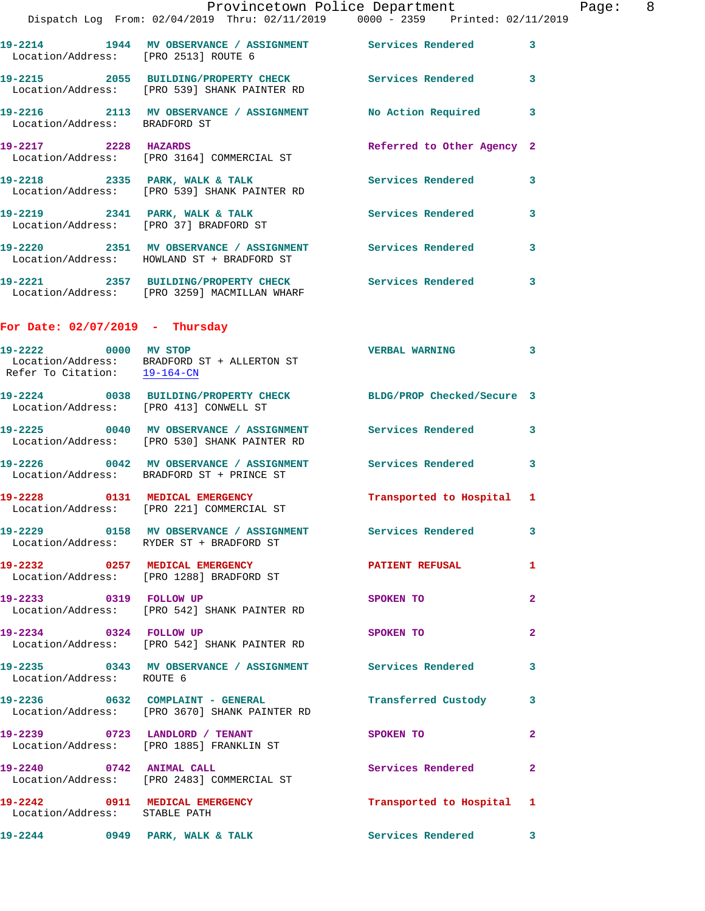Provincetown Police Department Fage: 8 Dispatch Log From: 02/04/2019 Thru: 02/11/2019 0000 - 2359 Printed: 02/11/2019 **19-2214 1944 MV OBSERVANCE / ASSIGNMENT Services Rendered 3**  Location/Address: [PRO 2513] ROUTE 6 **19-2215 2055 BUILDING/PROPERTY CHECK Services Rendered 3**  Location/Address: [PRO 539] SHANK PAINTER RD **19-2216 2113 MV OBSERVANCE / ASSIGNMENT No Action Required 3**  Location/Address: BRADFORD ST **19-2217 2228 HAZARDS Referred to Other Agency 2**  Location/Address: [PRO 3164] COMMERCIAL ST **19-2218 2335 PARK, WALK & TALK Services Rendered 3**  Location/Address: [PRO 539] SHANK PAINTER RD **19-2219 2341 PARK, WALK & TALK Services Rendered 3**  Location/Address: [PRO 37] BRADFORD ST **19-2220 2351 MV OBSERVANCE / ASSIGNMENT Services Rendered 3**  Location/Address: HOWLAND ST + BRADFORD ST **19-2221 2357 BUILDING/PROPERTY CHECK Services Rendered 3**  Location/Address: [PRO 3259] MACMILLAN WHARF **For Date: 02/07/2019 - Thursday 19-2222 0000 MV STOP VERBAL WARNING 3**  Location/Address: BRADFORD ST + ALLERTON ST Refer To Citation: 19-164-CN **19-2224 0038 BUILDING/PROPERTY CHECK BLDG/PROP Checked/Secure 3**  Location/Address: [PRO 413] CONWELL ST **19-2225 0040 MV OBSERVANCE / ASSIGNMENT Services Rendered 3**  Location/Address: [PRO 530] SHANK PAINTER RD **19-2226 0042 MV OBSERVANCE / ASSIGNMENT Services Rendered 3**  Location/Address: BRADFORD ST + PRINCE ST **19-2228 0131 MEDICAL EMERGENCY Transported to Hospital 1**  Location/Address: [PRO 221] COMMERCIAL ST **19-2229 0158 MV OBSERVANCE / ASSIGNMENT Services Rendered 3**  Location/Address: RYDER ST + BRADFORD ST **19-2232** 0257 MEDICAL EMERGENCY **PATIENT REFUSAL** 1 Location/Address: [PRO 1288] BRADFORD ST **19-2233 0319 FOLLOW UP SPOKEN TO 2**  Location/Address: [PRO 542] SHANK PAINTER RD **19-2234 0324 FOLLOW UP SPOKEN TO 2**  Location/Address: [PRO 542] SHANK PAINTER RD **19-2235 0343 MV OBSERVANCE / ASSIGNMENT Services Rendered 3**  Location/Address: ROUTE 6 **19-2236 0632 COMPLAINT - GENERAL Transferred Custody 3**  Location/Address: [PRO 3670] SHANK PAINTER RD **19-2239 0723 LANDLORD / TENANT SPOKEN TO 2**  Location/Address: [PRO 1885] FRANKLIN ST **19-2240 0742 ANIMAL CALL Services Rendered 2** 

**19-2242 0911 MEDICAL EMERGENCY Transported to Hospital 1**  Location/Address: STABLE PATH

19-2244 0949 PARK, WALK & TALK Services Rendered 3

Location/Address: [PRO 2483] COMMERCIAL ST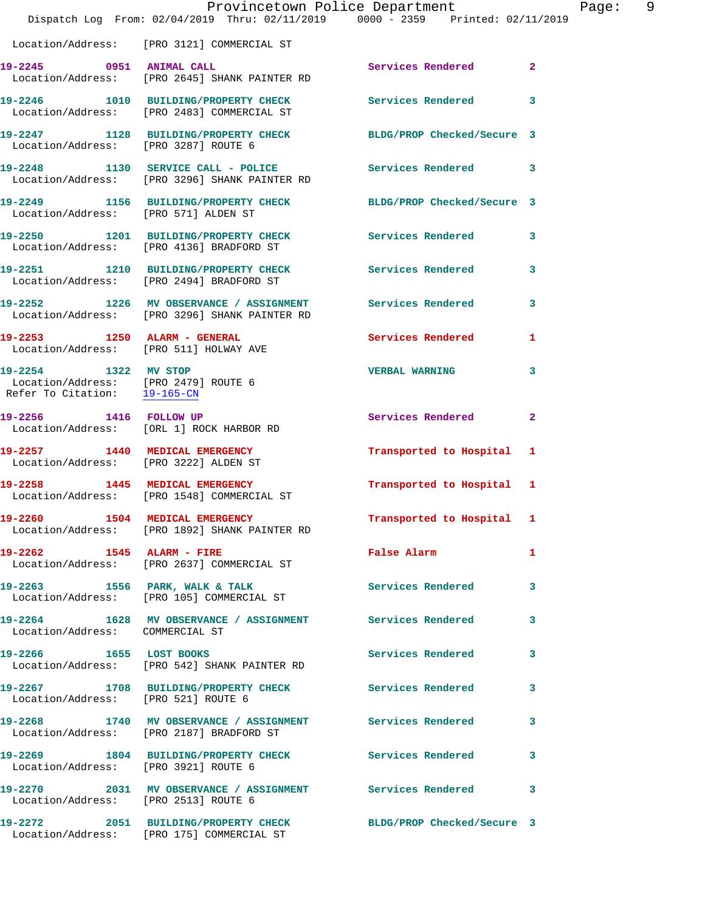|                                                                                              | Provincetown Police Department<br>Dispatch Log From: 02/04/2019 Thru: 02/11/2019 0000 - 2359 Printed: 02/11/2019 |                           | Page: 9      |
|----------------------------------------------------------------------------------------------|------------------------------------------------------------------------------------------------------------------|---------------------------|--------------|
|                                                                                              | Location/Address: [PRO 3121] COMMERCIAL ST                                                                       |                           |              |
|                                                                                              |                                                                                                                  | Services Rendered 2       |              |
|                                                                                              | 19-2246 1010 BUILDING/PROPERTY CHECK Services Rendered 3<br>Location/Address: [PRO 2483] COMMERCIAL ST           |                           |              |
| Location/Address: [PRO 3287] ROUTE 6                                                         | 19-2247 1128 BUILDING/PROPERTY CHECK BLDG/PROP Checked/Secure 3                                                  |                           |              |
|                                                                                              | 19-2248 1130 SERVICE CALL - POLICE Services Rendered 3<br>Location/Address: [PRO 3296] SHANK PAINTER RD          |                           |              |
|                                                                                              | 19-2249 1156 BUILDING/PROPERTY CHECK BLDG/PROP Checked/Secure 3<br>Location/Address: [PRO 571] ALDEN ST          |                           |              |
|                                                                                              | 19-2250 1201 BUILDING/PROPERTY CHECK Services Rendered 3<br>Location/Address: [PRO 4136] BRADFORD ST             |                           |              |
|                                                                                              | 19-2251 1210 BUILDING/PROPERTY CHECK Services Rendered 3<br>Location/Address: [PRO 2494] BRADFORD ST             |                           |              |
|                                                                                              | 19-2252 1226 MV OBSERVANCE / ASSIGNMENT Services Rendered<br>Location/Address: [PRO 3296] SHANK PAINTER RD       |                           | 3            |
|                                                                                              | 19-2253 1250 ALARM - GENERAL Services Rendered 1<br>Location/Address: [PRO 511] HOLWAY AVE                       |                           |              |
| 19-2254 1322 MV STOP<br>Location/Address: [PRO 2479] ROUTE 6<br>Refer To Citation: 19-165-CN |                                                                                                                  | <b>VERBAL WARNING</b>     | 3            |
|                                                                                              | 19-2256 1416 FOLLOW UP<br>Location/Address: [ORL 1] ROCK HARBOR RD                                               | Services Rendered         | $\mathbf{2}$ |
|                                                                                              | 19-2257 1440 MEDICAL EMERGENCY<br>Location/Address: [PRO 3222] ALDEN ST                                          | Transported to Hospital 1 |              |
|                                                                                              | 19-2258 1445 MEDICAL EMERGENCY<br>Location/Address: [PRO 1548] COMMERCIAL ST                                     | Transported to Hospital 1 |              |
|                                                                                              | 19-2260 1504 MEDICAL EMERGENCY<br>Location/Address: [PRO 1892] SHANK PAINTER RD                                  | Transported to Hospital 1 |              |
| 19-2262 1545 ALARM - FIRE                                                                    | Location/Address: [PRO 2637] COMMERCIAL ST                                                                       | False Alarm 1             |              |
|                                                                                              | 19-2263 1556 PARK, WALK & TALK<br>Location/Address: [PRO 105] COMMERCIAL ST                                      | Services Rendered 3       |              |
| Location/Address: COMMERCIAL ST                                                              | 19-2264 1628 MV OBSERVANCE / ASSIGNMENT Services Rendered 3                                                      |                           |              |
|                                                                                              | 19-2266 1655 LOST BOOKS<br>Location/Address: [PRO 542] SHANK PAINTER RD                                          | Services Rendered 3       |              |
| Location/Address: [PRO 521] ROUTE 6                                                          | 19-2267 1708 BUILDING/PROPERTY CHECK Services Rendered                                                           |                           | 3            |
|                                                                                              | 19-2268 1740 MV OBSERVANCE / ASSIGNMENT Services Rendered<br>Location/Address: [PRO 2187] BRADFORD ST            |                           | $\mathbf{3}$ |
| Location/Address: [PRO 3921] ROUTE 6                                                         | 19-2269 1804 BUILDING/PROPERTY CHECK Services Rendered                                                           |                           | 3            |
| Location/Address: [PRO 2513] ROUTE 6                                                         | 19-2270 2031 MV OBSERVANCE / ASSIGNMENT Services Rendered 3                                                      |                           |              |
|                                                                                              | 19-2272 2051 BUILDING/PROPERTY CHECK BLDG/PROP Checked/Secure 3<br>Location/Address: [PRO 175] COMMERCIAL ST     |                           |              |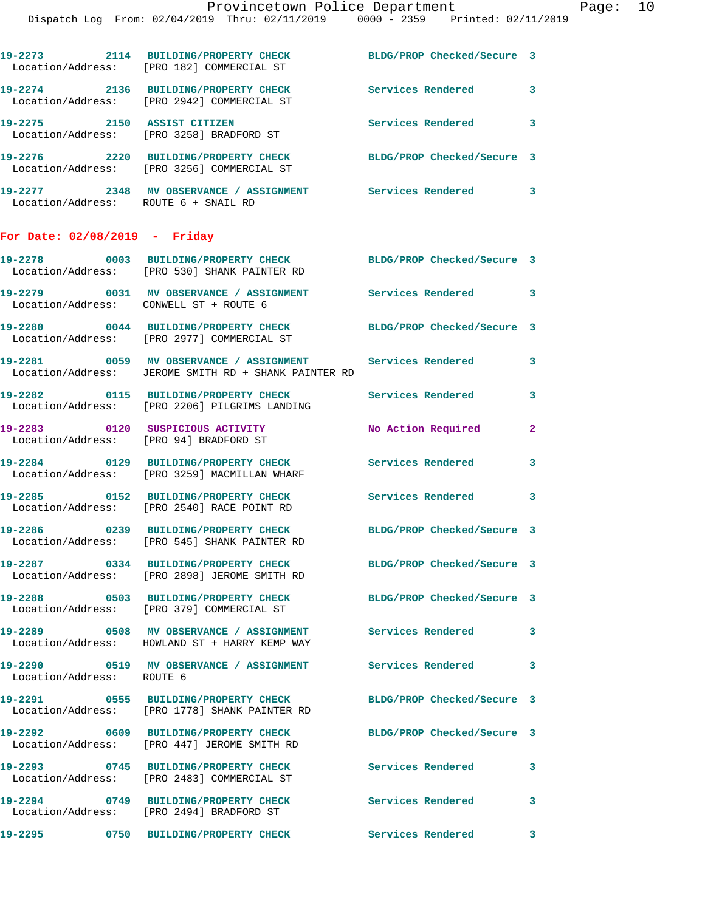|                                        | 19-2273 2114 BUILDING/PROPERTY CHECK<br>Location/Address: [PRO 182] COMMERCIAL ST                               | BLDG/PROP Checked/Secure 3 |              |
|----------------------------------------|-----------------------------------------------------------------------------------------------------------------|----------------------------|--------------|
|                                        | 19-2274 2136 BUILDING/PROPERTY CHECK<br>Location/Address: [PRO 2942] COMMERCIAL ST                              | Services Rendered 3        |              |
| 19-2275 2150 ASSIST CITIZEN            | Location/Address: [PRO 3258] BRADFORD ST                                                                        | Services Rendered 3        |              |
|                                        | 19-2276 2220 BUILDING/PROPERTY CHECK<br>Location/Address: [PRO 3256] COMMERCIAL ST                              | BLDG/PROP Checked/Secure 3 |              |
| Location/Address: ROUTE 6 + SNAIL RD   | 19-2277 2348 MV OBSERVANCE / ASSIGNMENT Services Rendered 3                                                     |                            |              |
| For Date: 02/08/2019 - Friday          |                                                                                                                 |                            |              |
|                                        | 19-2278 0003 BUILDING/PROPERTY CHECK BLDG/PROP Checked/Secure 3<br>Location/Address: [PRO 530] SHANK PAINTER RD |                            |              |
| Location/Address: CONWELL ST + ROUTE 6 | 19-2279 0031 MV OBSERVANCE / ASSIGNMENT Services Rendered 3                                                     |                            |              |
|                                        | 19-2280 0044 BUILDING/PROPERTY CHECK<br>Location/Address: [PRO 2977] COMMERCIAL ST                              | BLDG/PROP Checked/Secure 3 |              |
|                                        | 19-2281 0059 MV OBSERVANCE / ASSIGNMENT<br>Location/Address: JEROME SMITH RD + SHANK PAINTER RD                 | <b>Services Rendered</b>   | 3            |
|                                        | 19-2282 0115 BUILDING/PROPERTY CHECK<br>Location/Address: [PRO 2206] PILGRIMS LANDING                           | <b>Services Rendered</b>   | 3            |
| Location/Address: [PRO 94] BRADFORD ST | 19-2283 0120 SUSPICIOUS ACTIVITY                                                                                | <b>No Action Required</b>  | $\mathbf{2}$ |
|                                        | 19-2284 0129 BUILDING/PROPERTY CHECK<br>Location/Address: [PRO 3259] MACMILLAN WHARF                            | <b>Services Rendered</b>   | 3            |
|                                        | 19-2285 0152 BUILDING/PROPERTY CHECK<br>Location/Address: [PRO 2540] RACE POINT RD                              | Services Rendered 3        |              |
|                                        | 19-2286 0239 BUILDING/PROPERTY CHECK<br>Location/Address: [PRO 545] SHANK PAINTER RD                            | BLDG/PROP Checked/Secure 3 |              |
|                                        | 19-2287 0334 BUILDING/PROPERTY CHECK<br>Location/Address: [PRO 2898] JEROME SMITH RD                            | BLDG/PROP Checked/Secure 3 |              |
|                                        | 19-2288 0503 BUILDING/PROPERTY CHECK<br>Location/Address: [PRO 379] COMMERCIAL ST                               | BLDG/PROP Checked/Secure 3 |              |
|                                        | 19-2289 0508 MV OBSERVANCE / ASSIGNMENT<br>Location/Address: HOWLAND ST + HARRY KEMP WAY                        | Services Rendered          | 3            |
| Location/Address: ROUTE 6              | 19-2290       0519   MV OBSERVANCE / ASSIGNMENT      Services Rendered                                          |                            | 3            |
|                                        | 19-2291 0555 BUILDING/PROPERTY CHECK<br>Location/Address: [PRO 1778] SHANK PAINTER RD                           | BLDG/PROP Checked/Secure 3 |              |
|                                        | 19-2292 0609 BUILDING/PROPERTY CHECK<br>Location/Address: [PRO 447] JEROME SMITH RD                             | BLDG/PROP Checked/Secure 3 |              |
|                                        | 19-2293 0745 BUILDING/PROPERTY CHECK<br>Location/Address: [PRO 2483] COMMERCIAL ST                              | Services Rendered          | 3            |
|                                        | 19-2294 0749 BUILDING/PROPERTY CHECK<br>Location/Address: [PRO 2494] BRADFORD ST                                | <b>Services Rendered</b>   | 3            |
|                                        | 19-2295 0750 BUILDING/PROPERTY CHECK                                                                            | Services Rendered          | 3            |
|                                        |                                                                                                                 |                            |              |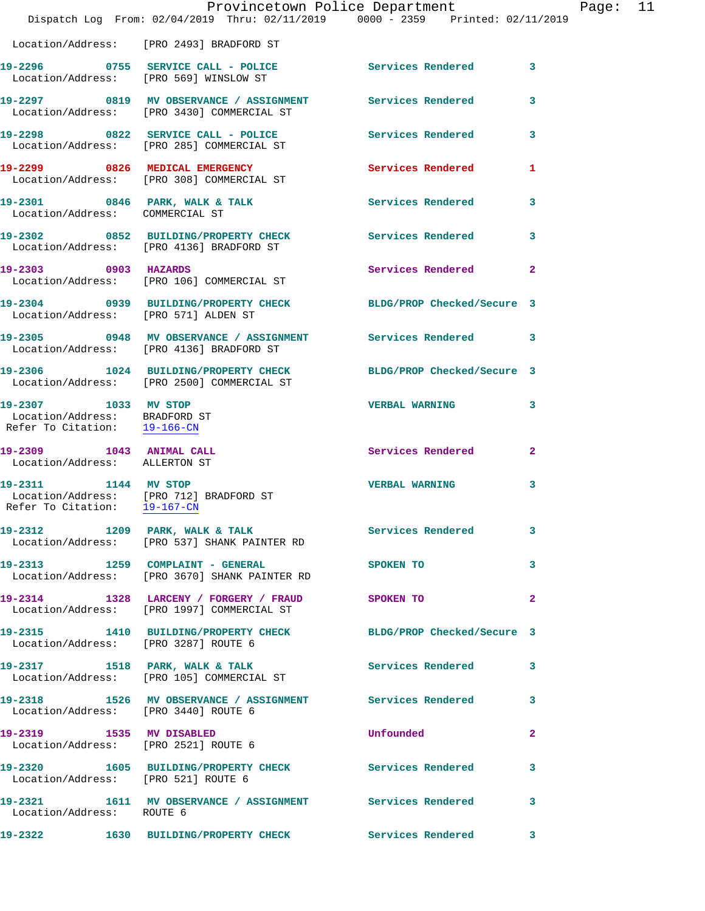|                                                                                       | Provincetown Police Department<br>Dispatch Log From: 02/04/2019 Thru: 02/11/2019 0000 - 2359 Printed: 02/11/2019 |                            |              | Page: 11 |  |
|---------------------------------------------------------------------------------------|------------------------------------------------------------------------------------------------------------------|----------------------------|--------------|----------|--|
|                                                                                       | Location/Address: [PRO 2493] BRADFORD ST                                                                         |                            |              |          |  |
|                                                                                       | 19-2296 0755 SERVICE CALL - POLICE 3 Services Rendered 3<br>Location/Address: [PRO 569] WINSLOW ST               |                            |              |          |  |
|                                                                                       | 19-2297 0819 MV OBSERVANCE / ASSIGNMENT Services Rendered 3<br>Location/Address: [PRO 3430] COMMERCIAL ST        |                            |              |          |  |
|                                                                                       | 19-2298 0822 SERVICE CALL - POLICE<br>Location/Address: [PRO 285] COMMERCIAL ST                                  | Services Rendered 3        |              |          |  |
|                                                                                       | 19-2299 0826 MEDICAL EMERGENCY Services Rendered 1<br>Location/Address: [PRO 308] COMMERCIAL ST                  |                            |              |          |  |
|                                                                                       | 19-2301 0846 PARK, WALK & TALK Services Rendered 3<br>Location/Address: COMMERCIAL ST                            |                            |              |          |  |
|                                                                                       | 19-2302 0852 BUILDING/PROPERTY CHECK Services Rendered 3<br>Location/Address: [PRO 4136] BRADFORD ST             |                            |              |          |  |
|                                                                                       | 19-2303 0903 HAZARDS<br>Location/Address: [PRO 106] COMMERCIAL ST                                                | Services Rendered 2        |              |          |  |
| Location/Address: [PRO 571] ALDEN ST                                                  | 19-2304 0939 BUILDING/PROPERTY CHECK BLDG/PROP Checked/Secure 3                                                  |                            |              |          |  |
|                                                                                       | 19-2305 0948 MV OBSERVANCE / ASSIGNMENT Services Rendered 3<br>Location/Address: [PRO 4136] BRADFORD ST          |                            |              |          |  |
|                                                                                       | 19-2306 1024 BUILDING/PROPERTY CHECK<br>Location/Address: [PRO 2500] COMMERCIAL ST                               | BLDG/PROP Checked/Secure 3 |              |          |  |
| 19-2307 1033 MV STOP<br>Location/Address: BRADFORD ST<br>Refer To Citation: 19-166-CN |                                                                                                                  | <b>VERBAL WARNING 3</b>    |              |          |  |
| 19-2309 1043 ANIMAL CALL<br>Location/Address: ALLERTON ST                             |                                                                                                                  | Services Rendered 2        |              |          |  |
| 19-2311 1144 MV STOP<br>Refer To Citation: 19-167-CN                                  | Location/Address: [PRO 712] BRADFORD ST                                                                          | <b>VERBAL WARNING</b>      | 3            |          |  |
|                                                                                       | 19-2312 1209 PARK, WALK & TALK 1998 Services Rendered 3<br>Location/Address: [PRO 537] SHANK PAINTER RD          |                            |              |          |  |
|                                                                                       | 19-2313 1259 COMPLAINT - GENERAL<br>Location/Address: [PRO 3670] SHANK PAINTER RD                                | <b>SPOKEN TO</b>           | $\sim$ 3     |          |  |
|                                                                                       | 19-2314 1328 LARCENY / FORGERY / FRAUD SPOKEN TO<br>Location/Address: [PRO 1997] COMMERCIAL ST                   |                            | $\mathbf{2}$ |          |  |
|                                                                                       | 19-2315 1410 BUILDING/PROPERTY CHECK BLDG/PROP Checked/Secure 3<br>Location/Address: [PRO 3287] ROUTE 6          |                            |              |          |  |
|                                                                                       | 19-2317 1518 PARK, WALK & TALK 1997 Services Rendered 3<br>Location/Address: [PRO 105] COMMERCIAL ST             |                            |              |          |  |
| Location/Address: [PRO 3440] ROUTE 6                                                  | 19-2318 1526 MV OBSERVANCE / ASSIGNMENT Services Rendered 3                                                      |                            |              |          |  |
| 19-2319 1535 MV DISABLED<br>Location/Address: [PRO 2521] ROUTE 6                      |                                                                                                                  | <b>Unfounded</b>           | $\mathbf{2}$ |          |  |
| Location/Address: [PRO 521] ROUTE 6                                                   | 19-2320 1605 BUILDING/PROPERTY CHECK Services Rendered                                                           |                            | 3            |          |  |
| Location/Address: ROUTE 6                                                             | 19-2321 1611 MV OBSERVANCE / ASSIGNMENT Services Rendered                                                        |                            | $\mathbf{3}$ |          |  |
|                                                                                       | 19-2322 1630 BUILDING/PROPERTY CHECK Services Rendered 3                                                         |                            |              |          |  |
|                                                                                       |                                                                                                                  |                            |              |          |  |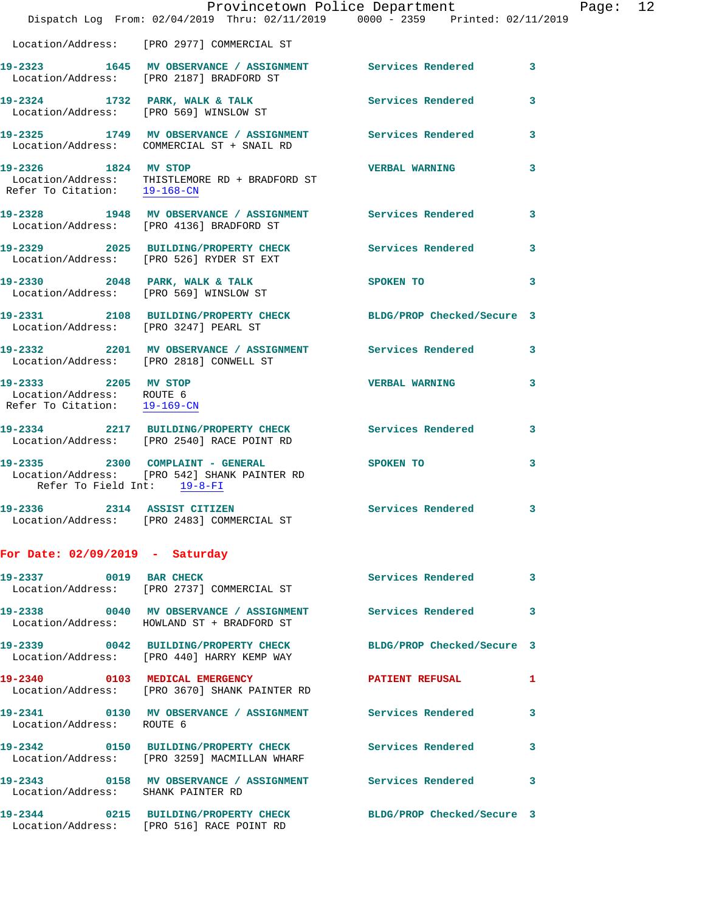|                                                                                   | Provincetown Police Department<br>Dispatch Log From: 02/04/2019 Thru: 02/11/2019 0000 - 2359 Printed: 02/11/2019 |                            |   |
|-----------------------------------------------------------------------------------|------------------------------------------------------------------------------------------------------------------|----------------------------|---|
|                                                                                   |                                                                                                                  |                            |   |
|                                                                                   | Location/Address: [PRO 2977] COMMERCIAL ST                                                                       |                            |   |
|                                                                                   | 19-2323 1645 MV OBSERVANCE / ASSIGNMENT Services Rendered<br>Location/Address: [PRO 2187] BRADFORD ST            |                            | 3 |
|                                                                                   | 19-2324 1732 PARK, WALK & TALK<br>Location/Address: [PRO 569] WINSLOW ST                                         | Services Rendered          | 3 |
|                                                                                   | 19-2325 1749 MV OBSERVANCE / ASSIGNMENT Services Rendered<br>Location/Address: COMMERCIAL ST + SNAIL RD          |                            | 3 |
| 19-2326 1824 MV STOP<br>Refer To Citation: 19-168-CN                              | Location/Address: THISTLEMORE RD + BRADFORD ST                                                                   | <b>VERBAL WARNING</b>      | 3 |
|                                                                                   | 19-2328 1948 MV OBSERVANCE / ASSIGNMENT Services Rendered<br>Location/Address: [PRO 4136] BRADFORD ST            |                            | 3 |
|                                                                                   | 19-2329 2025 BUILDING/PROPERTY CHECK<br>Location/Address: [PRO 526] RYDER ST EXT                                 | <b>Services Rendered</b>   | 3 |
|                                                                                   | 19-2330 2048 PARK, WALK & TALK<br>Location/Address: [PRO 569] WINSLOW ST                                         | SPOKEN TO                  | 3 |
| Location/Address: [PRO 3247] PEARL ST                                             | 19-2331 2108 BUILDING/PROPERTY CHECK                                                                             | BLDG/PROP Checked/Secure 3 |   |
|                                                                                   | 19-2332 2201 MV OBSERVANCE / ASSIGNMENT Services Rendered<br>Location/Address: [PRO 2818] CONWELL ST             |                            | 3 |
| 19-2333 2205 MV STOP<br>Location/Address: ROUTE 6<br>Refer To Citation: 19-169-CN |                                                                                                                  | <b>VERBAL WARNING</b>      | 3 |
|                                                                                   | 19-2334 2217 BUILDING/PROPERTY CHECK<br>Location/Address: [PRO 2540] RACE POINT RD                               | Services Rendered          | 3 |
| 19-2335 2300 COMPLAINT - GENERAL<br>Refer To Field Int: 19-8-FI                   | Location/Address: [PRO 542] SHANK PAINTER RD                                                                     | SPOKEN TO                  | 3 |
| 19-2336                                                                           | 2314 ASSIST CITIZEN<br>Location/Address: [PRO 2483] COMMERCIAL ST                                                | Services Rendered          | 3 |
| For Date: $02/09/2019$ - Saturday                                                 |                                                                                                                  |                            |   |
| 19-2337 0019 BAR CHECK                                                            | Location/Address: [PRO 2737] COMMERCIAL ST                                                                       | Services Rendered          | 3 |
|                                                                                   | 19-2338 0040 MV OBSERVANCE / ASSIGNMENT Services Rendered<br>Location/Address: HOWLAND ST + BRADFORD ST          |                            | 3 |
|                                                                                   | 19-2339 0042 BUILDING/PROPERTY CHECK<br>Location/Address: [PRO 440] HARRY KEMP WAY                               | BLDG/PROP Checked/Secure 3 |   |
|                                                                                   | 19-2340 0103 MEDICAL EMERGENCY<br>Location/Address: [PRO 3670] SHANK PAINTER RD                                  | PATIENT REFUSAL            | 1 |
| Location/Address: ROUTE 6                                                         | 19-2341 0130 MV OBSERVANCE / ASSIGNMENT Services Rendered                                                        |                            | 3 |
|                                                                                   | 19-2342 0150 BUILDING/PROPERTY CHECK<br>Location/Address: [PRO 3259] MACMILLAN WHARF                             | <b>Services Rendered</b>   | 3 |
| Location/Address: SHANK PAINTER RD                                                | 19-2343   0158 MV OBSERVANCE / ASSIGNMENT   Services Rendered                                                    |                            | 3 |
|                                                                                   | 19-2344 0215 BUILDING/PROPERTY CHECK<br>Location/Address: [PRO 516] RACE POINT RD                                | BLDG/PROP Checked/Secure 3 |   |

Page: 12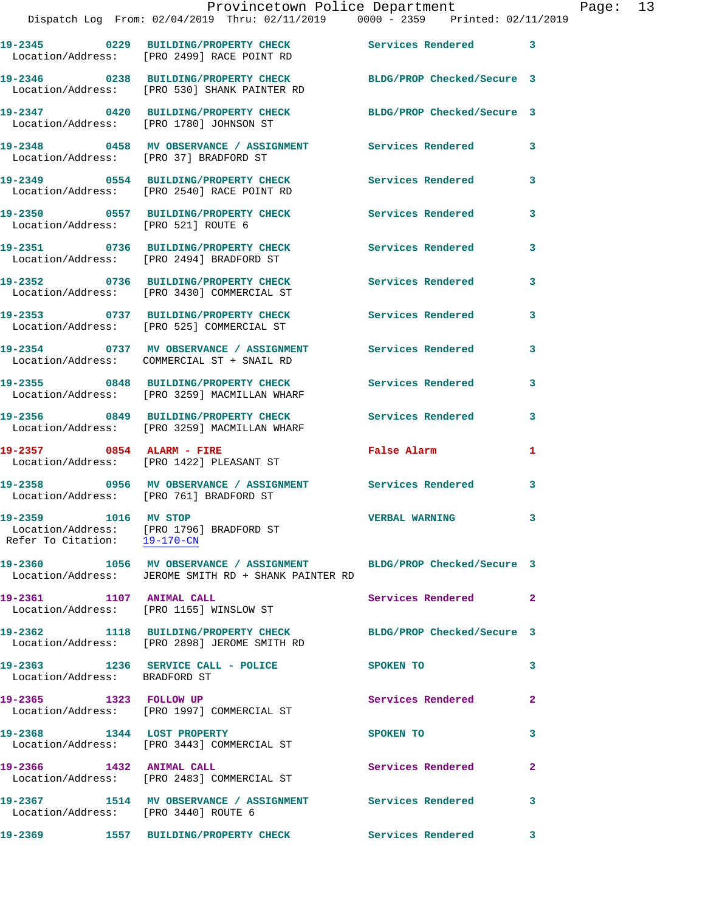|                                                      | Dispatch Log From: 02/04/2019 Thru: 02/11/2019     0000 - 2359   Printed: 02/11/                                           |                            |                |
|------------------------------------------------------|----------------------------------------------------------------------------------------------------------------------------|----------------------------|----------------|
|                                                      | 19-2345 0229 BUILDING/PROPERTY CHECK<br>Location/Address: [PRO 2499] RACE POINT RD                                         | Services Rendered 3        |                |
|                                                      | 19-2346 0238 BUILDING/PROPERTY CHECK<br>Location/Address: [PRO 530] SHANK PAINTER RD                                       | BLDG/PROP Checked/Secure 3 |                |
|                                                      | 19-2347 0420 BUILDING/PROPERTY CHECK<br>Location/Address: [PRO 1780] JOHNSON ST                                            | BLDG/PROP Checked/Secure 3 |                |
| Location/Address: [PRO 37] BRADFORD ST               | 19-2348 0458 MV OBSERVANCE / ASSIGNMENT                                                                                    | Services Rendered          | 3              |
|                                                      | 19-2349 0554 BUILDING/PROPERTY CHECK<br>Location/Address: [PRO 2540] RACE POINT RD                                         | Services Rendered          | 3              |
| Location/Address: [PRO 521] ROUTE 6                  | 19-2350 0557 BUILDING/PROPERTY CHECK                                                                                       | Services Rendered          | 3              |
|                                                      | 19-2351 0736 BUILDING/PROPERTY CHECK<br>Location/Address: [PRO 2494] BRADFORD ST                                           | <b>Services Rendered</b>   | $\mathbf{3}$   |
|                                                      | 19-2352 0736 BUILDING/PROPERTY CHECK<br>Location/Address: [PRO 3430] COMMERCIAL ST                                         | <b>Services Rendered</b>   | 3              |
|                                                      | 19-2353 0737 BUILDING/PROPERTY CHECK<br>Location/Address: [PRO 525] COMMERCIAL ST                                          | Services Rendered          | 3              |
|                                                      | 19-2354 0737 MV OBSERVANCE / ASSIGNMENT<br>Location/Address: COMMERCIAL ST + SNAIL RD                                      | <b>Services Rendered</b>   | 3              |
|                                                      | 19-2355 0848 BUILDING/PROPERTY CHECK<br>Location/Address: [PRO 3259] MACMILLAN WHARF                                       | Services Rendered          | 3              |
|                                                      | 19-2356 0849 BUILDING/PROPERTY CHECK<br>Location/Address: [PRO 3259] MACMILLAN WHARF                                       | <b>Services Rendered</b>   | 3              |
| 19-2357 0854 ALARM - FIRE                            | Location/Address: [PRO 1422] PLEASANT ST                                                                                   | <b>False Alarm</b>         | 1              |
|                                                      | 19-2358 6956 MV OBSERVANCE / ASSIGNMENT Services Rendered<br>Location/Address: [PRO 761] BRADFORD ST                       |                            | 3              |
| 19-2359 1016 MV STOP<br>Refer To Citation: 19-170-CN | Location/Address: [PRO 1796] BRADFORD ST                                                                                   | <b>VERBAL WARNING</b>      | 3              |
|                                                      | 19-2360 1056 MV OBSERVANCE / ASSIGNMENT BLDG/PROP Checked/Secure 3<br>Location/Address: JEROME SMITH RD + SHANK PAINTER RD |                            |                |
| 19-2361 1107 ANIMAL CALL                             | Location/Address: [PRO 1155] WINSLOW ST                                                                                    | Services Rendered 2        |                |
|                                                      | 19-2362 1118 BUILDING/PROPERTY CHECK<br>Location/Address: [PRO 2898] JEROME SMITH RD                                       | BLDG/PROP Checked/Secure 3 |                |
| Location/Address: BRADFORD ST                        | 19-2363 1236 SERVICE CALL - POLICE                                                                                         | <b>SPOKEN TO</b>           | 3              |
| 19-2365 1323 FOLLOW UP                               | Location/Address: [PRO 1997] COMMERCIAL ST                                                                                 | Services Rendered          | $\mathbf{2}$   |
|                                                      | 19-2368 1344 LOST PROPERTY<br>Location/Address: [PRO 3443] COMMERCIAL ST                                                   | SPOKEN TO                  | 3              |
| 19-2366 1432 ANIMAL CALL                             | Location/Address: [PRO 2483] COMMERCIAL ST                                                                                 | Services Rendered          | $\overline{2}$ |
| Location/Address: [PRO 3440] ROUTE 6                 | 19-2367 1514 MV OBSERVANCE / ASSIGNMENT Services Rendered                                                                  |                            | 3              |

**19-2369 1557 BUILDING/PROPERTY CHECK Services Rendered 3**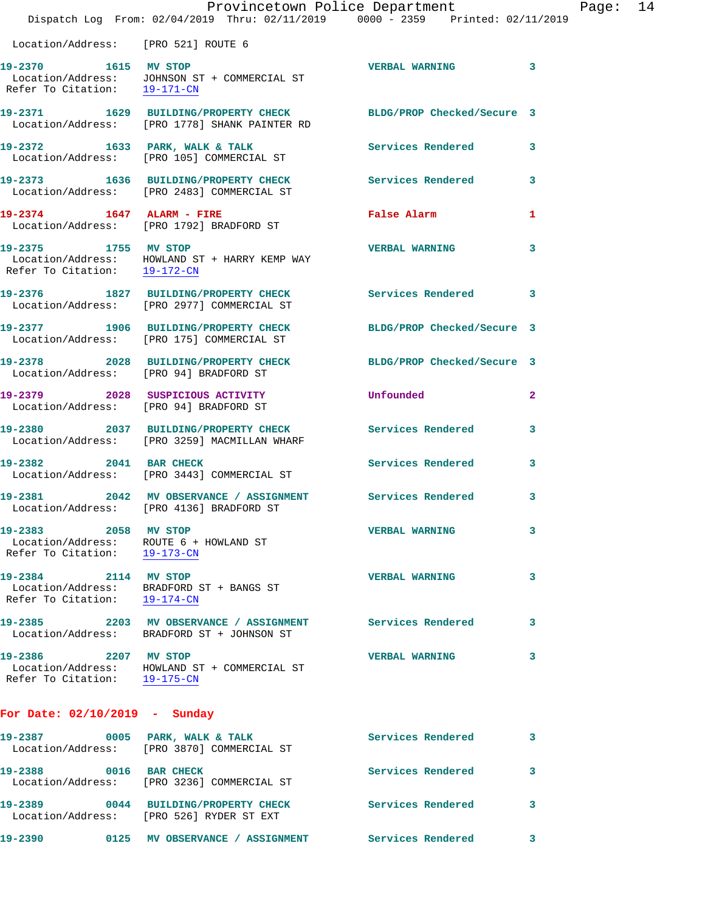|                                                                                                | Provincetown Police Department<br>Dispatch Log From: 02/04/2019 Thru: 02/11/2019 0000 - 2359 Printed: 02/11/2019 |                            |   |
|------------------------------------------------------------------------------------------------|------------------------------------------------------------------------------------------------------------------|----------------------------|---|
| Location/Address: [PRO 521] ROUTE 6                                                            |                                                                                                                  |                            |   |
| 19-2370 1615 MV STOP<br>Refer To Citation: 19-171-CN                                           | Location/Address: JOHNSON ST + COMMERCIAL ST                                                                     | <b>VERBAL WARNING</b>      | 3 |
|                                                                                                | 19-2371 1629 BUILDING/PROPERTY CHECK<br>Location/Address: [PRO 1778] SHANK PAINTER RD                            | BLDG/PROP Checked/Secure 3 |   |
| 19-2372 1633 PARK, WALK & TALK                                                                 | Location/Address: [PRO 105] COMMERCIAL ST                                                                        | Services Rendered          | 3 |
|                                                                                                | 19-2373 1636 BUILDING/PROPERTY CHECK<br>Location/Address: [PRO 2483] COMMERCIAL ST                               | <b>Services Rendered</b>   | 3 |
| 19-2374 1647 ALARM - FIRE                                                                      | Location/Address: [PRO 1792] BRADFORD ST                                                                         | False Alarm                | 1 |
| 19-2375 1755 MV STOP<br>Refer To Citation: 19-172-CN                                           | Location/Address: HOWLAND ST + HARRY KEMP WAY                                                                    | <b>VERBAL WARNING</b>      | 3 |
|                                                                                                | 19-2376 1827 BUILDING/PROPERTY CHECK Services Rendered<br>Location/Address: [PRO 2977] COMMERCIAL ST             |                            | 3 |
|                                                                                                | 19-2377 1906 BUILDING/PROPERTY CHECK<br>Location/Address: [PRO 175] COMMERCIAL ST                                | BLDG/PROP Checked/Secure 3 |   |
| Location/Address: [PRO 94] BRADFORD ST                                                         | 19-2378 2028 BUILDING/PROPERTY CHECK                                                                             | BLDG/PROP Checked/Secure 3 |   |
| 19-2379 2028 SUSPICIOUS ACTIVITY<br>Location/Address: [PRO 94] BRADFORD ST                     |                                                                                                                  | Unfounded                  | 2 |
|                                                                                                | 19-2380 2037 BUILDING/PROPERTY CHECK<br>Location/Address: [PRO 3259] MACMILLAN WHARF                             | Services Rendered          | 3 |
| 19-2382 2041 BAR CHECK                                                                         | Location/Address: [PRO 3443] COMMERCIAL ST                                                                       | Services Rendered          | 3 |
|                                                                                                | 19-2381 2042 MV OBSERVANCE / ASSIGNMENT<br>Location/Address: [PRO 4136] BRADFORD ST                              | Services Rendered          | 3 |
| 19-2383 2058 MV STOP<br>Location/Address: ROUTE 6 + HOWLAND ST<br>Refer To Citation: 19-173-CN |                                                                                                                  | <b>VERBAL WARNING</b>      | з |
| 19-2384 2114 MV STOP<br>Refer To Citation: 19-174-CN                                           | Location/Address: BRADFORD ST + BANGS ST                                                                         | <b>VERBAL WARNING</b>      | 3 |
|                                                                                                | 19-2385 2203 MV OBSERVANCE / ASSIGNMENT Services Rendered<br>Location/Address: BRADFORD ST + JOHNSON ST          |                            | 3 |
| 19-2386 2207 MV STOP<br>Refer To Citation: 19-175-CN                                           | Location/Address: HOWLAND ST + COMMERCIAL ST                                                                     | <b>VERBAL WARNING</b>      | 3 |
| For Date: $02/10/2019$ - Sunday                                                                |                                                                                                                  |                            |   |
|                                                                                                | 19-2387 0005 PARK, WALK & TALK<br>Location/Address: [PRO 3870] COMMERCIAL ST                                     | Services Rendered          | 3 |
| 19-2388 0016 BAR CHECK                                                                         | Location/Address: [PRO 3236] COMMERCIAL ST                                                                       | <b>Services Rendered</b>   | 3 |
|                                                                                                | 19-2389 0044 BUILDING/PROPERTY CHECK<br>Location/Address: [PRO 526] RYDER ST EXT                                 | <b>Services Rendered</b>   | 3 |

**19-2390 0125 MV OBSERVANCE / ASSIGNMENT Services Rendered 3** 

Page: 14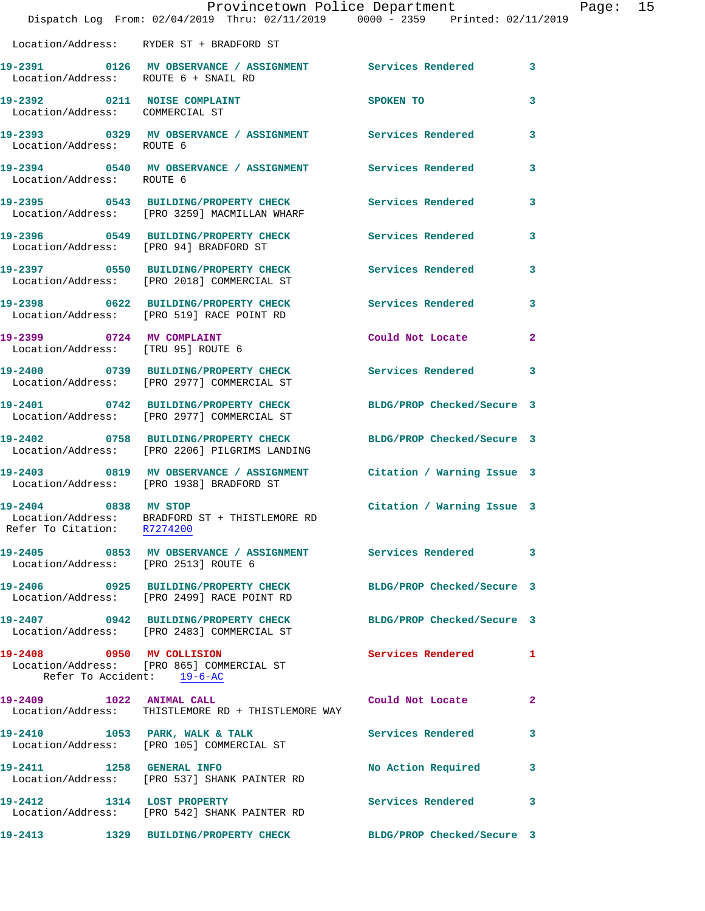|                                                     | Dispatch Log From: 02/04/2019 Thru: 02/11/2019 0000 - 2359 Printed: 02/11/2019                                 | Provincetown Police Department |              | Page: 15 |  |
|-----------------------------------------------------|----------------------------------------------------------------------------------------------------------------|--------------------------------|--------------|----------|--|
|                                                     | Location/Address: RYDER ST + BRADFORD ST                                                                       |                                |              |          |  |
|                                                     | 19-2391 0126 MV OBSERVANCE / ASSIGNMENT Services Rendered 3<br>Location/Address: ROUTE 6 + SNAIL RD            |                                |              |          |  |
| Location/Address: COMMERCIAL ST                     | 19-2392 0211 NOISE COMPLAINT                                                                                   | SPOKEN TO                      | $\mathbf{3}$ |          |  |
|                                                     | 19-2393 0329 MV OBSERVANCE / ASSIGNMENT Services Rendered 3<br>Location/Address: ROUTE 6                       |                                |              |          |  |
| Location/Address: ROUTE 6                           | 19-2394 0540 MV OBSERVANCE / ASSIGNMENT Services Rendered 3                                                    |                                |              |          |  |
|                                                     | 19-2395 0543 BUILDING/PROPERTY CHECK Services Rendered 3<br>Location/Address: [PRO 3259] MACMILLAN WHARF       |                                |              |          |  |
|                                                     | 19-2396 0549 BUILDING/PROPERTY CHECK Services Rendered 3<br>Location/Address: [PRO 94] BRADFORD ST             |                                |              |          |  |
|                                                     | 19-2397 0550 BUILDING/PROPERTY CHECK Services Rendered 3<br>Location/Address: [PRO 2018] COMMERCIAL ST         |                                |              |          |  |
|                                                     | 19-2398 0622 BUILDING/PROPERTY CHECK Services Rendered 3<br>Location/Address: [PRO 519] RACE POINT RD          |                                |              |          |  |
| 19-2399 0724 MV COMPLAINT                           | Location/Address: [TRU 95] ROUTE 6                                                                             | Could Not Locate 2             |              |          |  |
|                                                     | 19-2400 0739 BUILDING/PROPERTY CHECK Services Rendered 3<br>Location/Address: [PRO 2977] COMMERCIAL ST         |                                |              |          |  |
|                                                     | 19-2401 0742 BUILDING/PROPERTY CHECK<br>Location/Address: [PRO 2977] COMMERCIAL ST                             | BLDG/PROP Checked/Secure 3     |              |          |  |
|                                                     | 19-2402 0758 BUILDING/PROPERTY CHECK<br>Location/Address: [PRO 2206] PILGRIMS LANDING                          | BLDG/PROP Checked/Secure 3     |              |          |  |
|                                                     | 19-2403 0819 MV OBSERVANCE / ASSIGNMENT Citation / Warning Issue 3<br>Location/Address: [PRO 1938] BRADFORD ST |                                |              |          |  |
| 19-2404 0838 MV STOP<br>Refer To Citation: R7274200 | Location/Address: BRADFORD ST + THISTLEMORE RD                                                                 | Citation / Warning Issue 3     |              |          |  |
| Location/Address: [PRO 2513] ROUTE 6                | 19-2405 0853 MV OBSERVANCE / ASSIGNMENT Services Rendered 3                                                    |                                |              |          |  |
|                                                     | 19-2406 0925 BUILDING/PROPERTY CHECK<br>Location/Address: [PRO 2499] RACE POINT RD                             | BLDG/PROP Checked/Secure 3     |              |          |  |
|                                                     | 19-2407 0942 BUILDING/PROPERTY CHECK BLDG/PROP Checked/Secure 3<br>Location/Address: [PRO 2483] COMMERCIAL ST  |                                |              |          |  |
| Refer To Accident: 19-6-AC                          | 19-2408 0950 MV COLLISION<br>Location/Address: [PRO 865] COMMERCIAL ST                                         | Services Rendered 1            |              |          |  |
| 19-2409 1022 ANIMAL CALL                            | Location/Address: THISTLEMORE RD + THISTLEMORE WAY                                                             | Could Not Locate               | $\mathbf{2}$ |          |  |
|                                                     | 19-2410 1053 PARK, WALK & TALK<br>Location/Address: [PRO 105] COMMERCIAL ST                                    | Services Rendered 3            |              |          |  |
|                                                     | 19-2411 1258 GENERAL INFO<br>Location/Address: [PRO 537] SHANK PAINTER RD                                      | No Action Required 3           |              |          |  |
| 19-2412 1314 LOST PROPERTY                          | Location/Address: [PRO 542] SHANK PAINTER RD                                                                   | Services Rendered 3            |              |          |  |
|                                                     | 19-2413 1329 BUILDING/PROPERTY CHECK                                                                           | BLDG/PROP Checked/Secure 3     |              |          |  |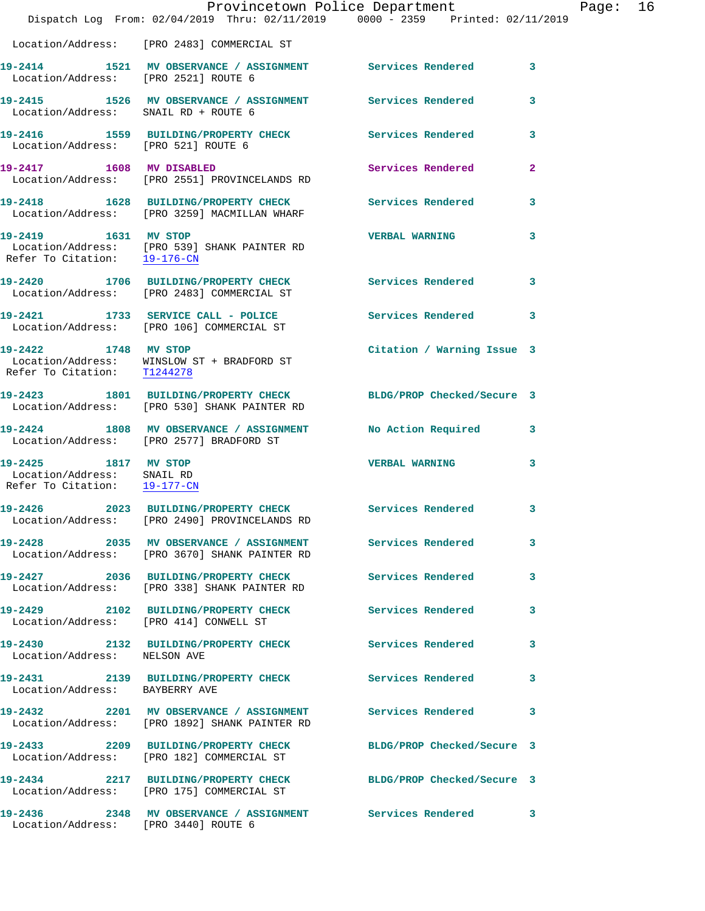|                                                                                    |                                                                                                            | Provincetown Police Department                                                                         |              |
|------------------------------------------------------------------------------------|------------------------------------------------------------------------------------------------------------|--------------------------------------------------------------------------------------------------------|--------------|
|                                                                                    |                                                                                                            | Dispatch Log From: 02/04/2019 Thru: 02/11/2019 0000 - 2359 Printed: 02/11/2019                         |              |
|                                                                                    | Location/Address: [PRO 2483] COMMERCIAL ST                                                                 |                                                                                                        |              |
| Location/Address: [PRO 2521] ROUTE 6                                               |                                                                                                            | 19-2414 1521 MV OBSERVANCE / ASSIGNMENT Services Rendered                                              | 3            |
| Location/Address: SNAIL RD + ROUTE 6                                               |                                                                                                            | 19-2415 1526 MV OBSERVANCE / ASSIGNMENT Services Rendered                                              | 3            |
| Location/Address: [PRO 521] ROUTE 6                                                | 19-2416 1559 BUILDING/PROPERTY CHECK Services Rendered                                                     |                                                                                                        | 3            |
| 19-2417 1608 MV DISABLED                                                           | Location/Address: [PRO 2551] PROVINCELANDS RD                                                              | Services Rendered                                                                                      | $\mathbf{2}$ |
|                                                                                    | Location/Address: [PRO 3259] MACMILLAN WHARF                                                               | 19-2418 1628 BUILDING/PROPERTY CHECK Services Rendered                                                 | 3            |
| Refer To Citation: 19-176-CN                                                       | 19-2419 1631 MV STOP<br>Location/Address: [PRO 539] SHANK PAINTER RD                                       | <b>VERBAL WARNING</b>                                                                                  | 3            |
|                                                                                    | 19-2420 1706 BUILDING/PROPERTY CHECK<br>Location/Address: [PRO 2483] COMMERCIAL ST                         | <b>Services Rendered</b>                                                                               | 3            |
|                                                                                    | 19-2421 1733 SERVICE CALL - POLICE<br>Location/Address: [PRO 106] COMMERCIAL ST                            | <b>Services Rendered</b>                                                                               | 3            |
| 19-2422 1748 MV STOP<br>Refer To Citation: T1244278                                | Location/Address: WINSLOW ST + BRADFORD ST                                                                 | Citation / Warning Issue 3                                                                             |              |
|                                                                                    | Location/Address: [PRO 530] SHANK PAINTER RD                                                               | 19-2423 1801 BUILDING/PROPERTY CHECK BLDG/PROP Checked/Secure 3                                        |              |
|                                                                                    |                                                                                                            | 19-2424 1808 MV OBSERVANCE / ASSIGNMENT No Action Required<br>Location/Address: [PRO 2577] BRADFORD ST | 3            |
| 19-2425 1817 MV STOP<br>Location/Address: SNAIL RD<br>Refer To Citation: 19-177-CN |                                                                                                            | <b>VERBAL WARNING</b>                                                                                  | 3            |
|                                                                                    | Location/Address: [PRO 2490] PROVINCELANDS RD                                                              | 19-2426 2023 BUILDING/PROPERTY CHECK Services Rendered                                                 | 3            |
|                                                                                    | 19-2428 2035 MV OBSERVANCE / ASSIGNMENT Services Rendered<br>Location/Address: [PRO 3670] SHANK PAINTER RD |                                                                                                        | 3            |
|                                                                                    | 19-2427 2036 BUILDING/PROPERTY CHECK Services Rendered<br>Location/Address: [PRO 338] SHANK PAINTER RD     |                                                                                                        | 3            |
| Location/Address: [PRO 414] CONWELL ST                                             |                                                                                                            | 19-2429 2102 BUILDING/PROPERTY CHECK Services Rendered                                                 | 3            |
| Location/Address: NELSON AVE                                                       | 19-2430 2132 BUILDING/PROPERTY CHECK                                                                       | <b>Services Rendered</b>                                                                               | 3            |
| Location/Address: BAYBERRY AVE                                                     |                                                                                                            | 19-2431 2139 BUILDING/PROPERTY CHECK Services Rendered                                                 | 3            |
|                                                                                    | Location/Address: [PRO 1892] SHANK PAINTER RD                                                              | 19-2432 2201 MV OBSERVANCE / ASSIGNMENT Services Rendered                                              | 3            |
|                                                                                    | 19-2433 2209 BUILDING/PROPERTY CHECK<br>Location/Address: [PRO 182] COMMERCIAL ST                          | BLDG/PROP Checked/Secure 3                                                                             |              |
|                                                                                    | 19-2434 2217 BUILDING/PROPERTY CHECK<br>Location/Address: [PRO 175] COMMERCIAL ST                          | BLDG/PROP Checked/Secure 3                                                                             |              |
| Location/Address: [PRO 3440] ROUTE 6                                               |                                                                                                            | 19-2436 2348 MV OBSERVANCE / ASSIGNMENT Services Rendered                                              | 3            |

Page:  $16$ <br> $19$